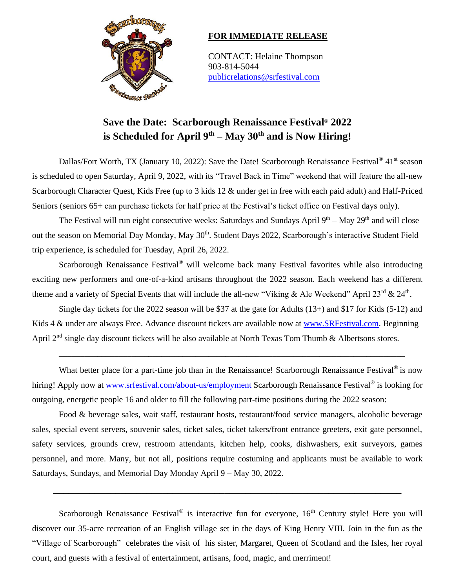

## **FOR IMMEDIATE RELEASE**

CONTACT: Helaine Thompson 903-814-5044 [publicrelations@srfestival.com](mailto:publicrelations@srfestival.com)

# **Save the Date: Scarborough Renaissance Festival® 2022 is Scheduled for April 9th – May 30th and is Now Hiring!**

Dallas/Fort Worth, TX (January 10, 2022): Save the Date! Scarborough Renaissance Festival<sup>®</sup> 41<sup>st</sup> season is scheduled to open Saturday, April 9, 2022, with its "Travel Back in Time" weekend that will feature the all-new Scarborough Character Quest, Kids Free (up to 3 kids 12 & under get in free with each paid adult) and Half-Priced Seniors (seniors 65+ can purchase tickets for half price at the Festival's ticket office on Festival days only).

The Festival will run eight consecutive weeks: Saturdays and Sundays April 9<sup>th</sup> – May 29<sup>th</sup> and will close out the season on Memorial Day Monday, May 30<sup>th</sup>. Student Days 2022, Scarborough's interactive Student Field trip experience, is scheduled for Tuesday, April 26, 2022.

Scarborough Renaissance Festival<sup>®</sup> will welcome back many Festival favorites while also introducing exciting new performers and one-of-a-kind artisans throughout the 2022 season. Each weekend has a different theme and a variety of Special Events that will include the all-new "Viking & Ale Weekend" April  $23^{\text{rd}}$  &  $24^{\text{th}}$ .

Single day tickets for the 2022 season will be \$37 at the gate for Adults (13+) and \$17 for Kids (5-12) and Kids 4 & under are always Free. Advance discount tickets are available now at [www.SRFestival.com.](http://www.srfestival.com/) Beginning April 2<sup>nd</sup> single day discount tickets will be also available at North Texas Tom Thumb & Albertsons stores.

\_\_\_\_\_\_\_\_\_\_\_\_\_\_\_\_\_\_\_\_\_\_\_\_\_\_\_\_\_\_\_\_\_\_\_\_\_\_\_\_\_\_\_\_\_\_\_\_\_\_\_\_\_\_\_\_\_\_\_\_\_\_\_\_\_\_\_\_\_\_\_\_\_\_\_\_\_\_\_\_\_

What better place for a part-time job than in the Renaissance! Scarborough Renaissance Festival<sup>®</sup> is now hiring! Apply now at [www.srfestival.com/about-us/employment](http://www.srfestival.com/about-us/employment) Scarborough Renaissance Festival® is looking for outgoing, energetic people 16 and older to fill the following part-time positions during the 2022 season:

Food & beverage sales, wait staff, restaurant hosts, restaurant/food service managers, alcoholic beverage sales, special event servers, souvenir sales, ticket sales, ticket takers/front entrance greeters, exit gate personnel, safety services, grounds crew, restroom attendants, kitchen help, cooks, dishwashers, exit surveyors, games personnel, and more. Many, but not all, positions require costuming and applicants must be available to work Saturdays, Sundays, and Memorial Day Monday April 9 – May 30, 2022.

**\_\_\_\_\_\_\_\_\_\_\_\_\_\_\_\_\_\_\_\_\_\_\_\_\_\_\_\_\_\_\_\_\_\_\_\_\_\_\_\_\_\_\_\_\_\_\_\_\_\_\_\_\_\_\_\_\_\_\_\_\_\_\_\_\_\_\_**

Scarborough Renaissance Festival<sup>®</sup> is interactive fun for everyone, 16<sup>th</sup> Century style! Here you will discover our 35-acre recreation of an English village set in the days of King Henry VIII. Join in the fun as the "Village of Scarborough" celebrates the visit of his sister, Margaret, Queen of Scotland and the Isles, her royal court, and guests with a festival of entertainment, artisans, food, magic, and merriment!